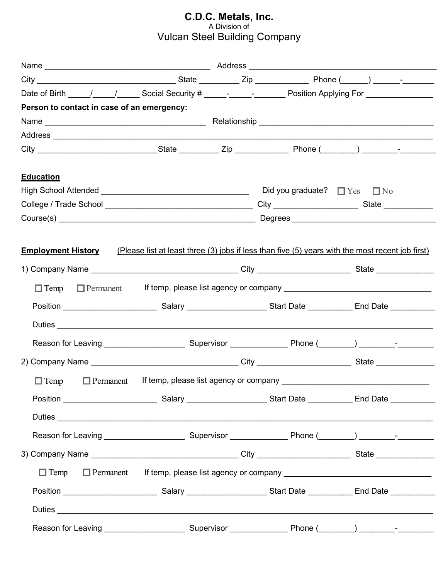## **C.D.C. Metals, Inc.** A Division of Vulcan Steel Building Company

| Date of Birth _____/_____/_______Social Security # _____- _________________Position Applying For _____________  |  |  |                                                                                  |
|-----------------------------------------------------------------------------------------------------------------|--|--|----------------------------------------------------------------------------------|
| Person to contact in case of an emergency:                                                                      |  |  |                                                                                  |
|                                                                                                                 |  |  |                                                                                  |
|                                                                                                                 |  |  |                                                                                  |
|                                                                                                                 |  |  |                                                                                  |
| <b>Education</b>                                                                                                |  |  |                                                                                  |
|                                                                                                                 |  |  |                                                                                  |
|                                                                                                                 |  |  |                                                                                  |
|                                                                                                                 |  |  |                                                                                  |
| $\Box$ Temp $\Box$ Permanent                                                                                    |  |  |                                                                                  |
| Position _____________________________Salary _______________________Start Date ______________End Date _________ |  |  |                                                                                  |
|                                                                                                                 |  |  |                                                                                  |
|                                                                                                                 |  |  |                                                                                  |
|                                                                                                                 |  |  |                                                                                  |
| $\Box$ Temp $\Box$ Permanent                                                                                    |  |  |                                                                                  |
| Position _____________________________Salary ______________________Start Date ______________End Date _________  |  |  |                                                                                  |
|                                                                                                                 |  |  |                                                                                  |
|                                                                                                                 |  |  |                                                                                  |
|                                                                                                                 |  |  |                                                                                  |
|                                                                                                                 |  |  | Temp Permanent If temp, please list agency or company __________________________ |
| Position ____________________________Salary ______________________Start Date _____________End Date ___________  |  |  |                                                                                  |
|                                                                                                                 |  |  |                                                                                  |
|                                                                                                                 |  |  |                                                                                  |